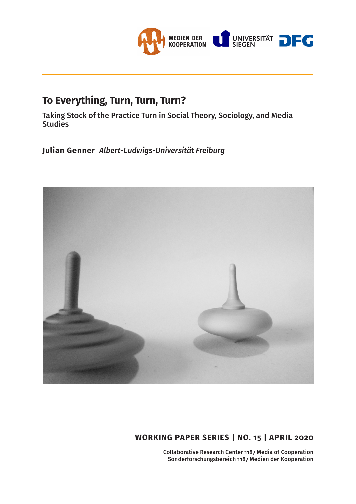

# **To Everything, Turn, Turn, Turn?**

Taking Stock of the Practice Turn in Social Theory, Sociology, and Media **Studies** 

**Julian Genner** *Albert-Ludwigs-Universität Freiburg*



## **WORKING PAPER SERIES | NO. 15 | APRIL 2020**

Collaborative Research Center 1187 Media of Cooperation Sonderforschungsbereich 1187 Medien der Kooperation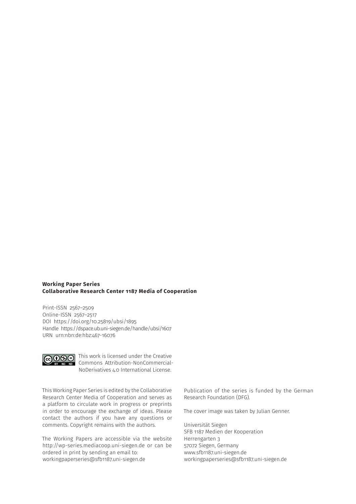#### **Working Paper Series Collaborative Research Center 1187 Media of Cooperation**

Print-ISSN 2567–2509 Online-ISSN 2567–2517 DOI https://doi.org/10.25819/ubsi/1895 Handle https://dspace.ub.uni-siegen.de/handle/ubsi/1607 URN urn:nbn:de:hbz:467-16076



This work is licensed under the Creative Commons Attribution-NonCommercial-NoDerivatives 4.0 International License.

This Working Paper Series is edited by the Collaborative Research Center Media of Cooperation and serves as a platform to circulate work in progress or preprints in order to encourage the exchange of ideas. Please contact the authors if you have any questions or comments. Copyright remains with the authors.

The Working Papers are accessible via the website http://wp-series.mediacoop.uni-siegen.de or can be ordered in print by sending an email to: workingpaperseries@sfb1187.uni-siegen.de

Publication of the series is funded by the German Research Foundation (DFG).

The cover image was taken by Julian Genner.

Universität Siegen SFB 1187 Medien der Kooperation Herrengarten 3 57072 Siegen, Germany www.sfb1187.uni-siegen.de workingpaperseries@sfb1187.uni-siegen.de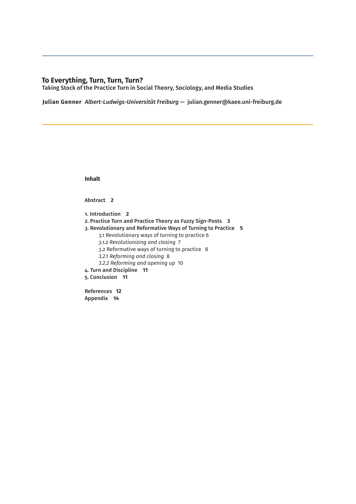### **To Everything, Turn, Turn, Turn?**

Taking Stock of the Practice Turn in Social Theory, Sociology, and Media Studies

**Julian Genner** *Albert-Ludwigs-Universität Freiburg* — julian.genner@kaee.uni-freiburg.de

**Inhalt**

Abstract **2**

1. Introduction **2** 2. Practice Turn and Practice Theory as Fuzzy Sign-Posts **3** 3. Revolutionary and Reformative Ways of Turning to Practice **5** 3.1 Revolutionary ways of turning to practice 6 *3.1.2 Revolutionizing and closing* 7 3.2 Reformative ways of turning to practice 8 *3.2.1 Reforming and closing* 8 *3.2.2 Reforming and opening up* 10 4. Turn and Discipline **11** 5. Conclusion **11** References **12** Appendix **14**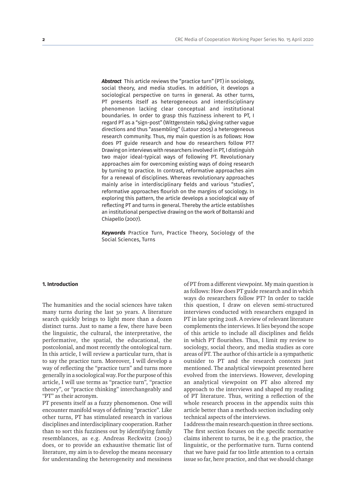*Abstract* This article reviews the "practice turn" (PT) in sociology, social theory, and media studies. In addition, it develops a sociological perspective on turns in general. As other turns, PT presents itself as heterogeneous and interdisciplinary phenomenon lacking clear conceptual and institutional boundaries. In order to grasp this fuzziness inherent to PT, I regard PT as a "sign-post" (Wittgenstein 1984) giving rather vague directions and thus "assembling" (Latour 2005) a heterogeneous research community. Thus, my main question is as follows: How does PT guide research and how do researchers follow PT? Drawing on interviews with researchers involved in PT, I distinguish two major ideal-typical ways of following PT. Revolutionary approaches aim for overcoming existing ways of doing research by turning to practice. In contrast, reformative approaches aim for a renewal of disciplines. Whereas revolutionary approaches mainly arise in interdisciplinary fields and various "studies", reformative approaches flourish on the margins of sociology. In exploring this pattern, the article develops a sociological way of reflecting PT and turns in general. Thereby the article establishes an institutional perspective drawing on the work of Boltanski and Chiapello (2007).

*Keywords* Practice Turn, Practice Theory, Sociology of the Social Sciences, Turns

#### **1. Introduction**

The humanities and the social sciences have taken many turns during the last 30 years. A literature search quickly brings to light more than a dozen distinct turns. Just to name a few, there have been the linguistic, the cultural, the interpretative, the performative, the spatial, the educational, the postcolonial, and most recently the ontological turn. In this article, I will review a particular turn, that is to say the practice turn. Moreover, I will develop a way of reflecting the "practice turn" and turns more generally in a sociological way. For the purpose of this article, I will use terms as "practice turn", "practice theory", or "practice thinking" interchangeably and "PT" as their acronym.

PT presents itself as a fuzzy phenomenon. One will encounter manifold ways of defining "practice". Like other turns, PT has stimulated research in various disciplines and interdisciplinary cooperation. Rather than to sort this fuzziness out by identifying family resemblances, as e.g. Andreas Reckwitz (2003) does, or to provide an exhaustive thematic list of literature, my aim is to develop the means necessary for understanding the heterogeneity and messiness of PT from a different viewpoint. My main question is as follows: How does PT guide research and in which ways do researchers follow PT? In order to tackle this question, I draw on eleven semi-structured interviews conducted with researchers engaged in PT in late spring 2018. A review of relevant literature complements the interviews. It lies beyond the scope of this article to include all disciplines and fields in which PT flourishes. Thus, I limit my review to sociology, social theory, and media studies as core areas of PT. The author of this article is a sympathetic outsider to PT and the research contexts just mentioned. The analytical viewpoint presented here evolved from the interviews. However, developing an analytical viewpoint on PT also altered my approach to the interviews and shaped my reading of PT literature. Thus, writing a reflection of the whole research process in the appendix suits this article better than a methods section including only technical aspects of the interviews.

I address the main research question in three sections. The first section focuses on the specific normative claims inherent to turns, be it e.g. the practice, the linguistic, or the performative turn. Turns contend that we have paid far too little attention to a certain issue so far, here practice, and that we should change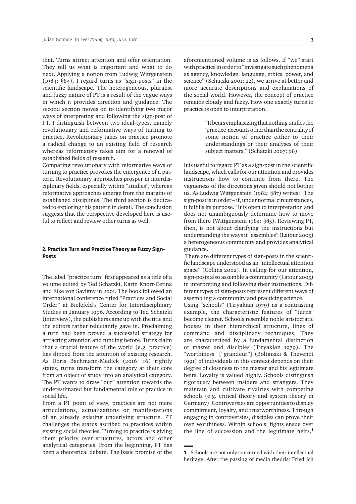that. Turns attract attention and offer orientation. They tell us what is important and what to do next. Applying a notion from Ludwig Wittgenstein (1984: §84), I regard turns as "sign-posts" in the scientific landscape. The heterogeneous, pluralist and fuzzy nature of PT is a result of the vague ways in which it provides direction and guidance. The second section moves on to identifying two major ways of interpreting and following the sign-post of PT. I distinguish between two ideal-types, namely revolutionary and reformative ways of turning to practice. Revolutionary takes on practice promote a radical change to an existing field of research whereas reformatory takes aim for a renewal of established fields of research.

Comparing revolutionary with reformative ways of turning to practice provokes the emergence of a pattern. Revolutionary approaches prosper in interdisciplinary fields, especially within "studies", whereas reformative approaches emerge from the margins of established disciplines. The third section is dedicated to exploring this pattern in detail. The conclusion suggests that the perspective developed here is useful to reflect and review other turns as well.

#### **2. Practice Turn and Practice Theory as Fuzzy Sign-Posts**

The label "practice turn" first appeared as a title of a volume edited by Ted Schatzki, Karin Knorr-Cetina and Eike von Savigny in 2001. The book followed an international conference titled "Practices and Social Order" at Bielefeld's Center for Interdisciplinary Studies in January 1996. According to Ted Schatzki (interview), the publishers came up with the title and the editors rather reluctantly gave in. Proclaiming a turn had been proved a successful strategy for attracting attention and funding before. Turns claim that a crucial feature of the world (e.g. practice) has slipped from the attention of existing research. As Doris Bachmann-Medick (2016: 16) rightly states, turns transform the category at their core from an object of study into an analytical category. The PT wants to draw "our" attention towards the underestimated but fundamental role of practice in social life.

From a PT point of view, practices are not mere articulations, actualizations or manifestations of an already existing underlying structure. PT challenges the status ascribed to practices within existing social theories. Turning to practice is giving them priority over structures, actors and other analytical categories. From the beginning, PT has been a theoretical debate. The basic promise of the

aforementioned volume is as follows. If "we" start with practice in order to "investigate such phenomena as agency, knowledge, language, ethics, power, and science" (Schatzki 2001: 22), we arrive at better and more accurate descriptions and explanations of the social world. However, the concept of practice remains cloudy and fuzzy. How one exactly turns to practice is open to interpretation.

> "It bears emphasizing that nothing unifies the 'practice' accounts other than the centrality of some notion of practice either to their understandings or their analyses of their subject matters." (Schatzki 2007: 98)

It is useful to regard PT as a sign-post in the scientific landscape, which calls for our attention and provides instructions how to continue from there. The vagueness of the directions given should not bother us. As Ludwig Wittgenstein (1984: §87) writes: "The sign-post is in order – if, under normal circumstances, it fulfills its purpose." It is open to interpretation and does not unambiguously determine how to move from there (Wittgenstein 1984: §85). Reviewing PT, then, is not about clarifying the instructions but understanding the ways it "assembles" (Latour 2005) a heterogeneous community and provides analytical guidance.

 There are different types of sign-posts in the scientific landscape understood as an "intellectual attention space" (Collins 2002). In calling for our attention, sign-posts also assemble a community (Latour 2005) in interpreting and following their instructions. Different types of sign-posts represent different ways of assembling a community and practicing science.

Using "schools" (Tiryakian 1979) as a contrasting example, the characteristic features of "turns" become clearer. Schools resemble noble aristocratic houses in their hierarchical structure, lines of command and disciplinary techniques. They are characterized by a fundamental distinction of master and disciples (Tiryakian 1979). The "worthiness" ["grandeur"] (Boltanski & Thevenot 1991) of individuals in this context depends on their degree of closeness to the master and his legitimate heirs. Loyalty is valued highly. Schools distinguish rigorously between insiders and strangers. They maintain and cultivate rivalries with competing schools (e.g. critical theory and system theory in Germany). Controversies are opportunities to display commitment, loyalty, and trustworthiness. Through engaging in controversies, disciples can prove their own worthiness. Within schools, fights ensue over the line of succession and the legitimate heirs. $<sup>1</sup>$ </sup>

**<sup>1</sup>** Schools are not only concerned with their intellectual heritage. After the passing of media theorist Friedrich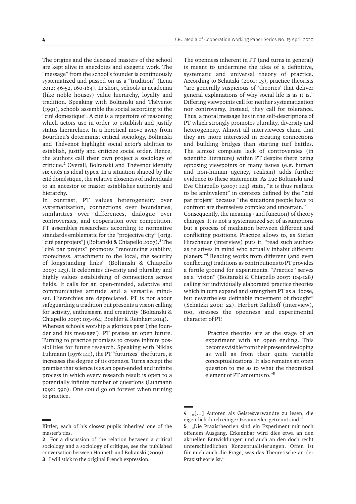The origins and the deceased masters of the school are kept alive in anecdotes and exegetic work. The "message" from the school's founder is continuously systematized and passed on as a "tradition" (Lena 2012: 46-52, 160-164). In short, schools in academia (like noble houses) value hierarchy, loyalty and tradition. Speaking with Boltanski and Thévenot (1991), schools assemble the social according to the "cité domestique". A cité is a repertoire of reasoning which actors use in order to establish and justify status hierarchies. In a heretical move away from Bourdieu's determinist critical sociology, Boltanski and Thévenot highlight social actor's abilities to establish, justify and criticize social order. Hence, the authors call their own project a sociology of critique.2 Overall, Boltanski and Thévenot identify six cités as ideal types. In a situation shaped by the cité doméstique, the relative closeness of individuals to an ancestor or master establishes authority and hierarchy.

In contrast, PT values heterogeneity over systematization, connections over boundaries, similarities over differences, dialogue over controversies, and cooperation over competition. PT assembles researchers according to normative standards emblematic for the "projective city" [orig. "cité par projets"] (Boltanski & Chiapello 2007).<sup>3</sup> The "cité par projets" promotes "renouncing stability, rootedness, attachment to the local, the security of longstanding links" (Boltanski & Chiapello 2007: 123). It celebrates diversity and plurality and highly values establishing of connections across fields. It calls for an open-minded, adaptive and communicative attitude and a versatile mindset. Hierarchies are depreciated. PT is not about safeguarding a tradition but presents a vision calling for activity, enthusiasm and creativity (Boltanski & Chiapello 2007: 103-164; Boehler & Reinhart 2014).

Whereas schools worship a glorious past ('the founder and his message'), PT praises an open future. Turning to practice promises to create infinite possibilities for future research. Speaking with Niklas Luhmann (1976:141), the PT "futurizes" the future, it increases the degree of its openess. Turns accept the premise that science is as an open-ended and infinite process in which every research result is open to a potentially infinite number of questions (Luhmann 1992: 590). One could go on forever when turning to practice.

The openness inherent in PT (and turns in general) is meant to undermine the idea of a definitive, systematic and universal theory of practice. According to Schatzki (2001: 13), practice theorists "are generally suspicious of 'theories' that deliver general explanations of why social life is as it is." Differing viewpoints call for neither systematization nor controversy. Instead, they call for tolerance. Thus, a moral message lies in the self-descriptions of PT which strongly promotes plurality, diversity and heterogeneity. Almost all interviewees claim that they are more interested in creating connections and building bridges than starting turf battles. The almost complete lack of controversies (in scientific literature) within PT despite there being opposing viewpoints on many issues (e.g. human and non-human agency, realism) adds further evidence to these statements. As Luc Boltanski and Eve Chiapello (2007: 124) state, "it is thus realistic to be ambivalent" in contexts defined by the "cité par projets" because "the situations people have to confront are themselves complex and uncertain."

Consequently, the meaning (and function) of theory changes. It is not a systematized set of assumptions but a process of mediation between different and conflicting positions. Practice allows to, as Stefan Hirschauer (interview) puts it, "read such authors as relatives in mind who actually inhabit different planets."4 Reading works from different (and even conflicting) traditions as contributions to PT provides a fertile ground for experiments. "Practice" serves as a "vision" (Boltanski & Chiapello 2007: 104-128) calling for individually elaborated practice theories which in turn expand and strengthen PT as a "loose, but nevertheless definable movement of thought" (Schatzki 2001: 22). Herbert Kalthoff (interview), too, stresses the openness and experimental character of PT:

> "Practice theories are at the stage of an experiment with an open ending. This becomes visible from their present developing as well as from their quite variable conceptualizations. It also remains an open question to me as to what the theoretical element of PT amounts to."5

Kittler, each of his closest pupils inherited one of the master's ties.

**<sup>2</sup>** For a discussion of the relation between a critical sociology and a sociology of critique, see the published conversation between Honneth and Boltanski (2009).

**<sup>3</sup>** I will stick to the original French expression.

**<sup>4</sup>** "[…] Autoren als Geistesverwandte zu lesen, die eigentlich durch einige Ozeanmeilen getrennt sind."

**<sup>5</sup>** "Die Praxistheorien sind ein Experiment mit noch offenem Ausgang. Erkennbar wird dies etwa an den aktuellen Entwicklungen und auch an den doch recht unterschiedlichen Konzeptualisierungen. Offen ist für mich auch die Frage, was das Theoretische an der Praxistheorie ist."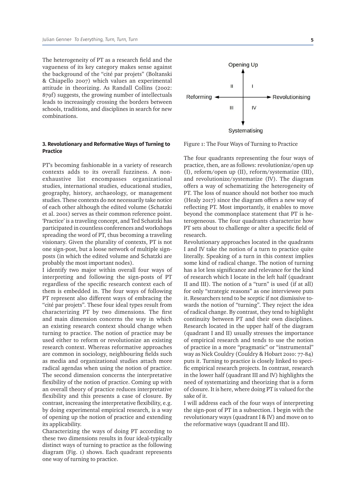The heterogeneity of PT as a research field and the vagueness of its key category makes sense against the background of the "cité par projets" (Boltanski & Chiapello 2007) which values an experimental attitude in theorizing. As Randall Collins (2002: 879f) suggests, the growing number of intellectuals leads to increasingly crossing the borders between schools, traditions, and disciplines in search for new combinations.

#### **3. Revolutionary and Reformative Ways of Turning to Practice**

PT's becoming fashionable in a variety of research contexts adds to its overall fuzziness. A nonexhaustive list encompasses organizational studies, international studies, educational studies, geography, history, archaeology, or management studies. These contexts do not necessarily take notice of each other although the edited volume (Schatzki et al. 2001) serves as their common reference point. 'Practice' is a traveling concept, and Ted Schatzki has participated in countless conferences and workshops spreading the word of PT, thus becoming a traveling visionary. Given the plurality of contexts, PT is not one sign-post, but a loose network of multiple signposts (in which the edited volume and Schatzki are probably the most important nodes).

I identify two major within overall four ways of interpreting and following the sign-posts of PT regardless of the specific research context each of them is embedded in. The four ways of following PT represent also different ways of embracing the "cité par projets". These four ideal types result from characterizing PT by two dimensions. The first and main dimension concerns the way in which an existing research context should change when turning to practice. The notion of practice may be used either to reform or revolutionize an existing research context. Whereas reformative approaches are common in sociology, neighbouring fields such as media and organizational studies attach more radical agendas when using the notion of practice. The second dimension concerns the interpretative flexibility of the notion of practice. Coming up with an overall theory of practice reduces interpretative flexibility and this presents a case of closure. By contrast, increasing the interpretative flexibility, e.g. by doing experimental empirical research, is a way of opening up the notion of practice and extending its applicability.

Characterizing the ways of doing PT according to these two dimensions results in four ideal-typically distinct ways of turning to practice as the following diagram (Fig. 1) shows. Each quadrant represents one way of turning to practice.



Figure 1: The Four Ways of Turning to Practice

The four quadrants representing the four ways of practice, then, are as follows: revolutionize/open up (I), reform/open up (II), reform/systematize (III), and revolutionize/systematize (IV). The diagram offers a way of schematizing the heterogeneity of PT. The loss of nuance should not bother too much (Healy 2017) since the diagram offers a new way of reflecting PT. Most importantly, it enables to move beyond the commonplace statement that PT is heterogeneous. The four quadrants characterize how PT sets about to challenge or alter a specific field of research.

Revolutionary approaches located in the quadrants I and IV take the notion of a turn to practice quite literally. Speaking of a turn in this context implies some kind of radical change. The notion of turning has a lot less significance and relevance for the kind of research which I locate in the left half (quadrant II and III). The notion of a "turn" is used (if at all) for only "strategic reasons" as one interviewee puts it. Researchers tend to be sceptic if not dismissive towards the notion of "turning". They reject the idea of radical change. By contrast, they tend to highlight continuity between PT and their own disciplines. Research located in the upper half of the diagram (quadrant I and II) usually stresses the importance of empirical research and tends to use the notion of practice in a more "pragmatic" or "instrumental" way as Nick Couldry (Couldry & Hobart 2010: 77-84) puts it. Turning to practice is closely linked to specific empirical research projects. In contrast, research in the lower half (quadrant III and IV) highlights the need of systematizing and theorizing that is a form of closure. It is here, where doing PT is valued for the sake of it.

I will address each of the four ways of interpreting the sign-post of PT in a subsection. I begin with the revolutionary ways (quadrant I & IV) and move on to the reformative ways (quadrant II and III).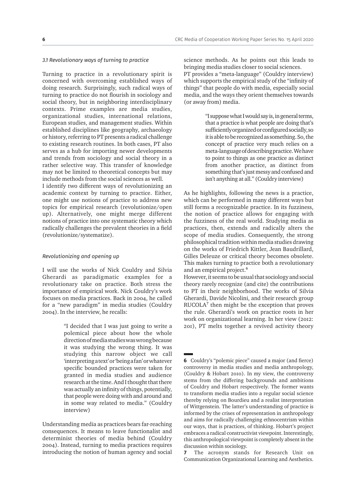#### *3.1 Revolutionary ways of turning to practice*

Turning to practice in a revolutionary spirit is concerned with overcoming established ways of doing research. Surprisingly, such radical ways of turning to practice do not flourish in sociology and social theory, but in neighboring interdisciplinary contexts. Prime examples are media studies, organizational studies, international relations, European studies, and management studies. Within established disciplines like geography, archaeology or history, referring to PT presents a radical challenge to existing research routines. In both cases, PT also serves as a hub for importing newer developments and trends from sociology and social theory in a rather selective way. This transfer of knowledge may not be limited to theoretical concepts but may include methods from the social sciences as well.

I identify two different ways of revolutionizing an academic context by turning to practice. Either, one might use notions of practice to address new topics for empirical research (revolutionize/open up). Alternatively, one might merge different notions of practice into one systematic theory which radically challenges the prevalent theories in a field (revolutionize/systematize).

#### *Revolutionizing and opening up*

I will use the works of Nick Couldry and Silvia Gherardi as paradigmatic examples for a revolutionary take on practice. Both stress the importance of empirical work. Nick Couldry's work focuses on media practices. Back in 2004, he called for a "new paradigm" in media studies (Couldry 2004). In the interview, he recalls:

> "I decided that I was just going to write a polemical piece about how the whole direction of media studies was wrong because it was studying the wrong thing. It was studying this narrow object we call 'interpreting a text' or 'being a fan' or whatever specific bounded practices were taken for granted in media studies and audience research at the time. And I thought that there was actually an infinity of things, potentially, that people were doing with and around and in some way related to media." (Couldry interview)

Understanding media as practices bears far-reaching consequences. It means to leave functionalist and determinist theories of media behind (Couldry 2004). Instead, turning to media practices requires introducing the notion of human agency and social science methods. As he points out this leads to bringing media studies closer to social sciences. PT provides a "meta-language" (Couldry interview)

which supports the empirical study of the "infinity of things" that people do with media, especially social media, and the ways they orient themselves towards (or away from) media.

> "I suppose what I would say is, in general terms, that a practice is what people are doing that's sufficiently organized or configured socially, so it is able to be recognized as something. So, the concept of practice very much relies on a meta-language of describing practice. We have to point to things as one practice as distinct from another practice, as distinct from something that's just messy and confused and isn't anything at all." (Couldry interview)

As he highlights, following the news is a practice, which can be performed in many different ways but still forms a recognizable practice. In its fuzziness, the notion of practice allows for engaging with the fuzziness of the real world. Studying media as practices, then, extends and radically alters the scope of media studies. Consequently, the strong philosophical tradition within media studies drawing on the works of Friedrich Kittler, Jean Baudrillard, Gilles Deleuze or critical theory becomes obsolete. This makes turning to practice both a revolutionary and an empirical project.<sup>6</sup>

However, it seems to be usual that sociology and social theory rarely recognize (and cite) the contributions to PT in their neighborhood. The works of Silvia Gherardi, Davide Nicolini, and their research group RUCOLA7 then might be the exception that proves the rule. Gherardi's work on practice roots in her work on organizational learning. In her view (2012: 201), PT melts together a revived activity theory

**<sup>6</sup>** Couldry's "polemic piece" caused a major (and fierce) controversy in media studies and media anthropology, (Couldry & Hobart 2010). In my view, the controversy stems from the differing backgrounds and ambitions of Couldry and Hobart respectively. The former wants to transform media studies into a regular social science thereby relying on Bourdieu and a realist interpretation of Wittgenstein. The latter's understanding of practice is informed by the crises of representation in anthropology and aims for radically challenging ethnocentrism within our ways, that is practices, of thinking. Hobart's project embraces a radical constructivist viewpoint. Interestingly, this anthropological viewpoint is completely absent in the discussion within sociology.

**<sup>7</sup>** The acronym stands for Research Unit on Communication Organizational Learning and Aesthetics.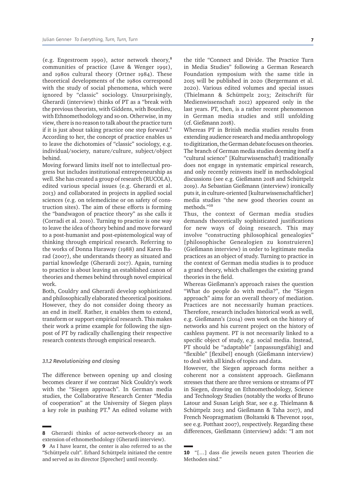(e.g. Engestroem 1990), actor network theory,8 communities of practice (Lave & Wenger 1991), and 1980s cultural theory (Ortner 1984). These theoretical developments of the 1980s correspond with the study of social phenomena, which were ignored by "classic" sociology. Unsurprisingly, Gherardi (interview) thinks of PT as a "break with the previous theorists, with Giddens, with Bourdieu, with Ethnomethodology and so on. Otherwise, in my view, there is no reason to talk about the practice turn if it is just about taking practice one step forward." According to her, the concept of practice enables us to leave the dichotomies of "classic" sociology, e.g. individual/society, nature/culture, subject/object behind.

Moving forward limits itself not to intellectual progress but includes institutional entrepreneurship as well. She has created a group of research (RUCOLA), edited various special issues (e.g. Gherardi et al. 2013) and collaborated in projects in applied social sciences (e.g. on telemedicine or on safety of construction sites). The aim of these efforts is forming the "bandwagon of practice theory" as she calls it (Corradi et al. 2010). Turning to practice is one way to leave the idea of theory behind and move forward to a post-humanist and post-epistemological way of thinking through empirical research. Referring to the works of Donna Haraway (1988) and Karen Barad (2007), she understands theory as situated and partial knowledge (Gherardi 2017). Again, turning to practice is about leaving an established canon of theories and themes behind through novel empirical work.

Both, Couldry and Gherardi develop sophisticated and philosophically elaborated theoretical positions. However, they do not consider doing theory as an end in itself. Rather, it enables them to extend, transform or support empirical research. This makes their work a prime example for following the signpost of PT by radically challenging their respective research contexts through empirical research.

#### *3.1.2 Revolutionizing and closing*

The difference between opening up and closing becomes clearer if we contrast Nick Couldry's work with the "Siegen approach". In German media studies, the Collaborative Research Center "Media of cooperation" at the University of Siegen plays a key role in pushing PT.<sup>9</sup> An edited volume with

the title "Connect and Divide. The Practice Turn in Media Studies" following a German Research Foundation symposium with the same title in 2015 will be published in 2020 (Bergermann et al. 2020). Various edited volumes and special issues (Thielmann & Schüttpelz 2013; Zeitschrift für Medienwissenschaft 2012) appeared only in the last years. PT, then, is a rather recent phenomenon in German media studies and still unfolding (cf. Gießmann 2018).

Whereas PT in British media studies results from extending audience research and media anthropology to digitization, the German debate focuses on theories. The branch of German media studies deeming itself a "cultural science" [Kulturwissenschaft] traditionally does not engage in systematic empirical research, and only recently reinvests itself in methodological discussions (see e.g. Gießmann 2018 and Schüttpelz 2019). As Sebastian Gießmann (interview) ironically puts it, in culture-oriented [kulturwissenschaftlicher] media studies "the new good theories count as methods."10

Thus, the context of German media studies demands theoretically sophisticated justifications for new ways of doing research. This may involve "constructing philosophical genealogies" [philosophische Genealogien zu konstruieren] (Gießmann interview) in order to legitimate media practices as an object of study. Turning to practice in the context of German media studies is to produce a grand theory, which challenges the existing grand theories in the field.

Whereas Gießmann's approach raises the question "What do people do with media?", the "Siegen approach" aims for an overall theory of mediation. Practices are not necessarily human practices. Therefore, research includes historical work as well, e.g. Gießmann's (2014) own work on the history of networks and his current project on the history of cashless payment. PT is not necessarily linked to a specific object of study, e.g. social media. Instead, PT should be "adaptable" [anpassungsfähig] and "flexible" [flexibel] enough (Gießmann interview) to deal with all kinds of topics and data.

However, the Siegen approach forms neither a coherent nor a consistent approach. Gießmann stresses that there are three versions or streams of PT in Siegen, drawing on Ethnomethodology, Science and Technology Studies (notably the works of Bruno Latour and Susan Leigh Star, see e.g. Thielmann & Schüttpelz 2013 and Gießmann & Taha 2017), and French Neopragmatism (Boltanski & Thevenot 1991, see e.g. Potthast 2007), respectively. Regarding these differences, Gießmann (interview) adds: "I am not

**<sup>8</sup>** Gherardi thinks of actor-network-theory as an extension of ethnomethodology (Gherardi interview). **9** As I have learnt, the center is also referred to as the "Schüttpelz cult". Erhard Schüttpelz initiated the centre and served as its director [Sprecher] until recently.

**<sup>10</sup>** "[…] dass die jeweils neuen guten Theorien die Methoden sind."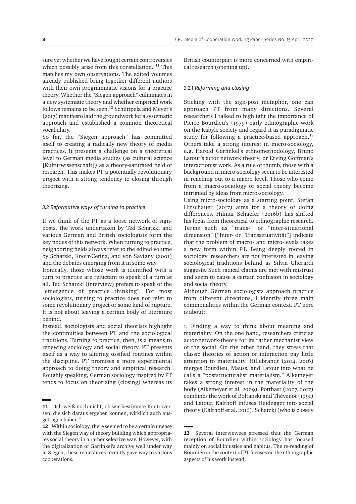sure yet whether we have fought certain controversies which possibly arise from this constellation."<sup>11</sup> This matches my own observations. The edited volumes already published bring together different authors with their own programmatic visions for a practice theory. Whether the "Siegen approach" culminates in a new systematic theory and whether empirical work follows remains to be seen.12 Schüttpelz and Meyer's (2017) manifesto laid the groundwork for a systematic approach and established a common theoretical vocabulary.

So far, the "Siegen approach" has committed itself to creating a radically new theory of media practices. It presents a challenge on a theoretical level to German media studies (as cultural science [Kulturwissenschaft]) as a theory-saturated field of research. This makes PT a potentially revolutionary project with a strong tendency to closing through theorizing.

#### *3.2 Reformative ways of turning to practice*

If we think of the PT as a loose network of signposts, the work undertaken by Ted Schatzki and various German and British sociologists form the key nodes of this network. When turning to practice, neighboring fields always refer to the edited volume by Schatzki, Knorr-Cetina, and von Savigny (2001) and the debates emerging from it in some way.

Ironically, those whose work is identified with a turn to practice are reluctant to speak of a turn at all. Ted Schatzki (interview) prefers to speak of the "emergence of practice thinking". For most sociologists, turning to practice does not refer to some revolutionary project or some kind of rupture. It is not about leaving a certain body of literature behind.

Instead, sociologists and social theorists highlight the continuities between PT and the sociological traditions. Turning to practice, then, is a means to renewing sociology and social theory. PT presents itself as a way to altering ossified routines within the discipline. PT promises a more experimental approach to doing theory and empirical research. Roughly speaking, German sociology inspired by PT tends to focus on theorizing (closing) whereas its

British counterpart is more concerned with empirical research (opening up).

#### *3.2.1 Reforming and closing*

Sticking with the sign-post metaphor, one can approach PT from many directions. Several researchers I talked to highlight the importance of Pierre Bourdieu's (1979) early ethnographic work on the Kabyle society and regard it as paradigmatic study for following a practice-based approach.<sup>13</sup> Others take a strong interest in micro-sociology, e.g. Harold Garfinkel's ethnomethodology, Bruno Latour's actor network theory, or Erving Goffman's interactionist work. As a rule of thumb, those with a background in micro-sociology seem to be interested in reaching out to a macro level. Those who come from a macro-sociology or social theory become intrigued by ideas from micro-sociology.

Using micro-sociology as a starting point, Stefan Hirschauer (2017) aims for a theory of doing differences. Hilmar Schaefer (2016b) has shifted his focus from theoretical to ethnographic research. Terms such as "trans-" or "inter-situational dimension" ["Inter- or "Transsituativität"] indicate that the problem of macro- and micro-levels takes a new form within PT. Being deeply rooted in sociology, researchers are not interested in leaving sociological traditions behind as Silvia Gherardi suggests. Such radical claims are met with mistrust and seem to cause a certain confusion in sociology and social theory.

Although German sociologists approach practice from different directions, I identify three main commonalities within the German context. PT here is about:

1. Finding a way to think about meaning and materiality. On the one hand, researchers criticize actor-network-theory for its rather mechanist view of the social. On the other hand, they stress that classic theories of action or interaction pay little attention to materiality. Hillebrandt (2014, 2016) merges Bourdieu, Mauss, and Latour into what he calls a "poststructuralist materialism." Alkemeyer takes a strong interest in the materiality of the body (Alkemeyer et al. 2009). Potthast (2007, 2017) combines the work of Boltanski and Thévenot (1991) and Latour. Kalthoff infuses Heidegger into social theory (Kalthoff et al. 2016). Schatzki (who is closely

**<sup>11</sup>** "Ich weiß noch nicht, ob wir bestimmte Kontroversen, die sich daraus ergeben können, wirklich auch ausgetragen haben."

**<sup>12</sup>** Within sociology, there seemed to be a certain unease with the Siegen way of theory building which appropriates social theory in a rather selective way. However, with the digitalization of Garfinkel's archive well under way in Siegen, these reluctances recently gave way to various cooperations.

**<sup>13</sup>** Several interviewees stressed that the German reception of Bourdieu within sociology has focused mainly on social injustice and habitus. The re-reading of Bourdieu in the context of PT focuses on the ethnographic aspects of his work instead.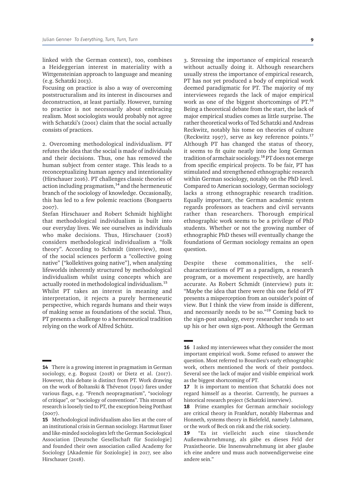linked with the German context), too, combines a Heideggerian interest in materiality with a Wittgensteinian approach to language and meaning (e.g. Schatzki 2013).

Focusing on practice is also a way of overcoming poststructuralism and its interest in discourses and deconstruction, at least partially. However, turning to practice is not necessarily about embracing realism. Most sociologists would probably not agree with Schatzki's (2001) claim that the social actually consists of practices.

2. Overcoming methodological individualism. PT refutes the idea that the social is made of individuals and their decisions. Thus, one has removed the human subject from center stage. This leads to a reconceptualizing human agency and intentionality (Hirschauer 2016). PT challenges classic theories of action including pragmatism, $14$  and the hermeneutic branch of the sociology of knowledge. Occasionally, this has led to a few polemic reactions (Bongaerts 2007).

Stefan Hirschauer and Robert Schmidt highlight that methodological individualism is built into our everyday lives. We see ourselves as individuals who make decisions. Thus, Hirschauer (2018) considers methodological individualism a "folk theory". According to Schmidt (interview), most of the social sciences perform a "collective going native" ["kollektives going native"], when analyzing lifeworlds inherently structured by methodological individualism whilst using concepts which are actually rooted in methodological individualism.15 Whilst PT takes an interest in meaning and interpretation, it rejects a purely hermeneutic perspective, which regards humans and their ways of making sense as foundations of the social. Thus, PT presents a challenge to a hermeneutical tradition relying on the work of Alfred Schütz.

3. Stressing the importance of empirical research without actually doing it. Although researchers usually stress the importance of empirical research, PT has not yet produced a body of empirical work deemed paradigmatic for PT. The majority of my interviewees regards the lack of major empirical work as one of the biggest shortcomings of PT.16 Being a theoretical debate from the start, the lack of major empirical studies comes as little surprise. The rather theoretical works of Ted Schatzki and Andreas Reckwitz, notably his tome on theories of culture (Reckwitz 1997), serve as key reference points.17 Although PT has changed the status of theory, it seems to fit quite neatly into the long German tradition of armchair sociology.18 PT does not emerge from specific empirical projects. To be fair, PT has stimulated and strengthened ethnographic research within German sociology, notably on the PhD level. Compared to American sociology, German sociology lacks a strong ethnographic research tradition. Equally important, the German academic system regards professors as teachers and civil servants rather than researchers. Thorough empirical ethnographic work seems to be a privilege of PhD students. Whether or not the growing number of ethnographic PhD theses will eventually change the foundations of German sociology remains an open question.

Despite these commonalities, the selfcharacterizations of PT as a paradigm, a research program, or a movement respectively, are hardly accurate. As Robert Schmidt (interview) puts it: "Maybe the idea that there were this one field of PT presents a misperception from an outsider's point of view. But I think the view from inside is different, and necessarily needs to be so."19 Coming back to the sign-post analogy, every researcher tends to set up his or her own sign-post. Although the German

**<sup>14</sup>** There is a growing interest in pragmatism in German sociology, e.g. Bogusz (2018) or Dietz et al. (2017). However, this debate is distinct from PT. Work drawing on the work of Boltanski & Thévenot (1991) fares under various flags, e.g. "French neopragmatism", "sociology of critique", or "sociology of conventions". This stream of research is loosely tied to PT, the exception being Potthast (2007).

**<sup>15</sup>** Methodological individualism also lies at the core of an institutional crisis in German sociology. Hartmut Esser and like-minded sociologists left the German Sociological Association [Deutsche Gesellschaft für Soziologie] and founded their own association called Academy for Sociology [Akademie für Soziologie] in 2017, see also Hirschauer (2018).

**<sup>16</sup>** I asked my interviewees what they consider the most important empirical work. Some refused to answer the question. Most referred to Bourdieu's early ethnographic work, others mentioned the work of their postdocs. Several see the lack of major and visible empirical work as the biggest shortcoming of PT.

**<sup>17</sup>** It is important to mention that Schatzki does not regard himself as a theorist. Currently, he pursues a historical research project (Schatzki interview).

<sup>18</sup> Prime examples for German armchair sociology are critical theory in Frankfurt, notably Habermas and Honneth, systems theory in Bielefeld, namely Luhmann, or the work of Beck on risk and the risk society.

**<sup>19</sup>** "Es ist vielleicht auch eine täuschende Außenwahrnehmung, als gäbe es dieses Feld der Praxistheorie. Die Innenwahrnehmung ist aber glaube ich eine andere und muss auch notwendigerweise eine andere sein."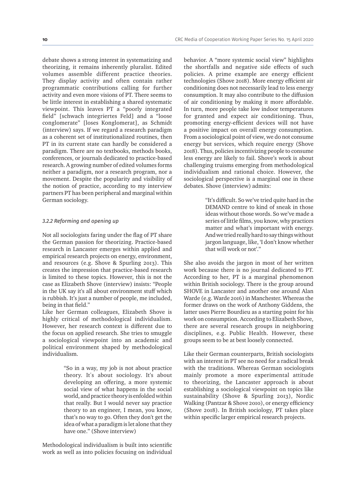debate shows a strong interest in systematizing and theorizing, it remains inherently pluralist. Edited volumes assemble different practice theories. They display activity and often contain rather programmatic contributions calling for further activity and even more visions of PT. There seems to be little interest in establishing a shared systematic viewpoint. This leaves PT a "poorly integrated field" [schwach integriertes Feld] and a "loose conglomerate" [loses Konglomerat], as Schmidt (interview) says. If we regard a research paradigm as a coherent set of institutionalized routines, then PT in its current state can hardly be considered a paradigm. There are no textbooks, methods books, conferences, or journals dedicated to practice-based research. A growing number of edited volumes forms neither a paradigm, nor a research program, nor a movement. Despite the popularity and visibility of the notion of practice, according to my interview partners PT has been peripheral and marginal within German sociology.

#### *3.2.2 Reforming and opening up*

Not all sociologists faring under the flag of PT share the German passion for theorizing. Practice-based research in Lancaster emerges within applied and empirical research projects on energy, environment, and resources (e.g. Shove & Spurling 2013). This creates the impression that practice-based research is limited to these topics. However, this is not the case as Elizabeth Shove (interview) insists: "People in the UK say it's all about environment stuff which is rubbish. It's just a number of people, me included, being in that field."

Like her German colleagues, Elizabeth Shove is highly critical of methodological individualism. However, her research context is different due to the focus on applied research. She tries to smuggle a sociological viewpoint into an academic and political environment shaped by methodological individualism.

> "So in a way, my job is not about practice theory. It's about sociology. It's about developing an offering, a more systemic social view of what happens in the social world, and practice theory is enfolded within that really. But I would never say practice theory to an engineer, I mean, you know, that's no way to go. Often they don't get the idea of what a paradigm is let alone that they have one." (Shove interview)

Methodological individualism is built into scientific work as well as into policies focusing on individual

behavior. A "more systemic social view" highlights the shortfalls and negative side effects of such policies. A prime example are energy efficient technologies (Shove 2018). More energy efficient air conditioning does not necessarily lead to less energy consumption. It may also contribute to the diffusion of air conditioning by making it more affordable. In turn, more people take low indoor temperatures for granted and expect air conditioning. Thus, promoting energy-efficient devices will not have a positive impact on overall energy consumption. From a sociological point of view, we do not consume energy but services, which require energy (Shove 2018). Thus, policies incentivizing people to consume less energy are likely to fail. Shove's work is about challenging truisms emerging from methodological individualism and rational choice. However, the sociological perspective is a marginal one in these debates. Shove (interview) admits:

> "It's difficult. So we've tried quite hard in the DEMAND centre to kind of sneak in those ideas without those words. So we've made a series of little films, you know, why practices matter and what's important with energy. And we tried really hard to say things without jargon language, like, 'I don't know whether that will work or not'."

She also avoids the jargon in most of her written work because there is no journal dedicated to PT. According to her, PT is a marginal phenomenon within British sociology. There is the group around SHOVE in Lancaster and another one around Alan Warde (e.g. Warde 2016) in Manchester. Whereas the former draws on the work of Anthony Giddens, the latter uses Pierre Bourdieu as a starting point for his work on consumption. According to Elizabeth Shove, there are several research groups in neighboring disciplines, e.g. Public Health. However, these groups seem to be at best loosely connected.

Like their German counterparts, British sociologists with an interest in PT see no need for a radical break with the traditions. Whereas German sociologists mainly promote a more experimental attitude to theorizing, the Lancaster approach is about establishing a sociological viewpoint on topics like sustainability (Shove & Spurling 2013), Nordic Walking (Pantzar & Shove 2010), or energy efficiency (Shove 2018). In British sociology, PT takes place within specific larger empirical research projects.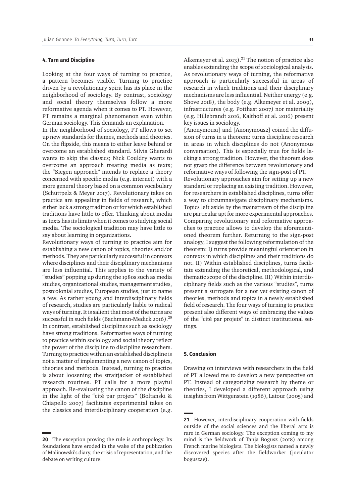#### **4. Turn and Discipline**

Looking at the four ways of turning to practice, a pattern becomes visible. Turning to practice driven by a revolutionary spirit has its place in the neighborhood of sociology. By contrast, sociology and social theory themselves follow a more reformative agenda when it comes to PT. However, PT remains a marginal phenomenon even within German sociology. This demands an explanation.

In the neighborhood of sociology, PT allows to set up new standards for themes, methods and theories. On the flipside, this means to either leave behind or overcome an established standard. Silvia Gherardi wants to skip the classics; Nick Couldry wants to overcome an approach treating media as texts; the "Siegen approach" intends to replace a theory concerned with specific media (e.g. internet) with a more general theory based on a common vocabulary (Schüttpelz & Meyer 2017). Revolutionary takes on practice are appealing in fields of research, which either lack a strong tradition or for which established traditions have little to offer. Thinking about media as texts has its limits when it comes to studying social media. The sociological tradition may have little to say about learning in organizations.

Revolutionary ways of turning to practice aim for establishing a new canon of topics, theories and/or methods. They are particularly successful in contexts where disciplines and their disciplinary mechanisms are less influential. This applies to the variety of "studies" popping up during the 1980s such as media studies, organizational studies, management studies, postcolonial studies, European studies, just to name a few. As rather young and interdisciplinary fields of research, studies are particularly liable to radical ways of turning. It is salient that most of the turns are successful in such fields (Bachmann-Medick 2016).<sup>20</sup> In contrast, established disciplines such as sociology have strong traditions. Reformative ways of turning to practice within sociology and social theory reflect the power of the discipline to discipline researchers. Turning to practice within an established discipline is not a matter of implementing a new canon of topics, theories and methods. Instead, turning to practice is about loosening the straitjacket of established research routines. PT calls for a more playful approach. Re-evaluating the canon of the discipline in the light of the "cité par projets" (Boltanski & Chiapello 2007) facilitates experimental takes on the classics and interdisciplinary cooperation (e.g.

Alkemeyer et al. 2013).<sup>21</sup> The notion of practice also enables extending the scope of sociological analysis. As revolutionary ways of turning, the reformative approach is particularly successful in areas of research in which traditions and their disciplinary mechanisms are less influential. Neither energy (e.g. Shove 2018), the body (e.g. Alkemeyer et al. 2009), infrastructures (e.g. Potthast 2007) nor materiality (e.g. Hillebrandt 2016, Kalthoff et al. 2016) present key issues in sociology.

[Anonymous1] and [Anonymous2] coined the diffusion of turns in a theorem: turns discipline research in areas in which disciplines do not (Anonymous conversation). This is especially true for fields lacking a strong tradition. However, the theorem does not grasp the difference between revolutionary and reformative ways of following the sign-post of PT.

Revolutionary approaches aim for setting up a new standard or replacing an existing tradition. However, for researchers in established disciplines, turns offer a way to circumnavigate disciplinary mechanisms. Topics left aside by the mainstream of the discipline are particular apt for more experimental approaches. Comparing revolutionary and reformative approaches to practice allows to develop the aforementioned theorem further. Returning to the sign-post analogy, I suggest the following reformulation of the theorem: I) turns provide meaningful orientation in contexts in which disciplines and their traditions do not. II) Within established disciplines, turns facilitate extending the theoretical, methodological, and thematic scope of the discipline. III) Within interdisciplinary fields such as the various "studies", turns present a surrogate for a not yet existing canon of theories, methods and topics in a newly established field of research. The four ways of turning to practice present also different ways of embracing the values of the "cité par projets" in distinct institutional settings.

#### **5. Conclusion**

Drawing on interviews with researchers in the field of PT allowed me to develop a new perspective on PT. Instead of categorizing research by theme or theories, I developed a different approach using insights from Wittgenstein (1986), Latour (2005) and

**<sup>20</sup>** The exception proving the rule is anthropology. Its foundations have eroded in the wake of the publication of Malinowski's diary, the crisis of representation, and the debate on writing culture.

**<sup>21</sup>** However, interdisciplinary cooperation with fields outside of the social sciences and the liberal arts is rare in German sociology. The exception coming to my mind is the fieldwork of Tanja Bogusz (2018) among French marine biologists. The biologists named a newly discovered species after the fieldworker (joculator boguszae).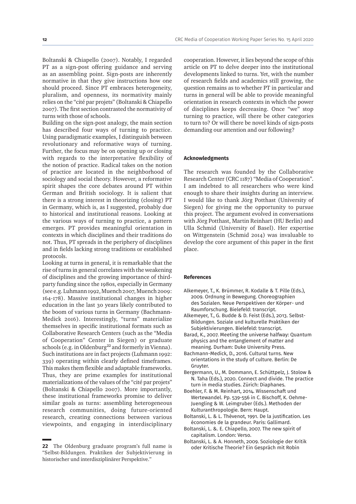Boltanski & Chiapello (2007). Notably, I regarded PT as a sign-post offering guidance and serving as an assembling point. Sign-posts are inherently normative in that they give instructions how one should proceed. Since PT embraces heterogeneity, pluralism, and openness, its normativity mainly relies on the "cité par projets" (Boltanski & Chiapello 2007). The first section contrasted the normativity of turns with those of schools.

Building on the sign-post analogy, the main section has described four ways of turning to practice. Using paradigmatic examples, I distinguish between revolutionary and reformative ways of turning. Further, the focus may be on opening up or closing with regards to the interpretative flexibility of the notion of practice. Radical takes on the notion of practice are located in the neighborhood of sociology and social theory. However, a reformative spirit shapes the core debates around PT within German and British sociology. It is salient that there is a strong interest in theorizing (closing) PT in Germany, which is, as I suggested, probably due to historical and institutional reasons. Looking at the various ways of turning to practice, a pattern emerges. PT provides meaningful orientation in contexts in which disciplines and their traditions do not. Thus, PT spreads in the periphery of disciplines and in fields lacking strong traditions or established protocols.

Looking at turns in general, it is remarkable that the rise of turns in general correlates with the weakening of disciplines and the growing importance of thirdparty funding since the 1980s, especially in Germany (see e.g. Luhmann 1992, Muench 2007, Muench 2009: 164-178). Massive institutional changes in higher education in the last 30 years likely contributed to the boom of various turns in Germany (Bachmann-Medick 2016). Interestingly, "turns" materialize themselves in specific institutional formats such as Collaborative Research Centers (such as the "Media of Cooperation" Center in Siegen) or graduate  $schools$  (e.g. in Oldenburg<sup>22</sup> and formerly in Vienna). Such institutions are in fact projects (Luhmann 1992: 339) operating within clearly defined timeframes. This makes them flexible and adaptable frameworks. Thus, they are prime examples for institutional materializations of the values of the "cité par projets" (Boltanski & Chiapello 2007). More importantly, these institutional frameworks promise to deliver similar goals as turns: assembling heterogeneous research communities, doing future-oriented research, creating connections between various viewpoints, and engaging in interdisciplinary cooperation. However, it lies beyond the scope of this article on PT to delve deeper into the institutional developments linked to turns. Yet, with the number of research fields and academics still growing, the question remains as to whether PT in particular and turns in general will be able to provide meaningful orientation in research contexts in which the power of disciplines keeps decreasing. Once "we" stop turning to practice, will there be other categories to turn to? Or will there be novel kinds of sign-posts demanding our attention and our following?

#### **Acknowledgments**

The research was founded by the Collaborative Research Center (CRC 1187) "Media of Cooperation". I am indebted to all researchers who were kind enough to share their insights during an interview. I would like to thank Jörg Potthast (University of Siegen) for giving me the opportunity to pursue this project. The argument evolved in conversations with Jörg Potthast, Martin Reinhart (HU Berlin) and Ulla Schmid (University of Basel). Her expertise on Wittgenstein (Schmid 2014) was invaluable to develop the core argument of this paper in the first place.

#### **References**

- Alkemeyer, T., K. Brümmer, R. Kodalle & T. Pille (Eds.), 2009. Ordnung in Bewegung. Choreographien des Sozialen. Neue Perspektiven der Körper- und Raumforschung. Bielefeld: transcript.
- Alkemeyer, T., G. Budde & D. Feist (Eds.), 2013. Selbst-Bildungen. Soziale und kulturelle Praktiken der Subjektivierungen. Bielefeld: transcript.
- Barad, K., 2007. Meeting the universe halfway: Quantum physics and the entanglement of matter and meaning. Durham: Duke University Press.
- Bachmann-Medick, D., 2016. Cultural turns. New orientations in the study of culture. Berlin: De Gruyter.
- Bergermann, U., M. Dommann, E. Schüttpelz, J. Stolow & N. Taha (Eds.), 2020. Connect and divide. The practice turn in media studies. Zürich: Diaphanes.
- Boehler, F. & M. Reinhart, 2014. Wissenschaft und Wertewandel. Pp. 539-556 in C. Bischoff, K. Oehme-Juengling & W. Leimgruber (Eds.). Methoden der Kulturanthropologie. Bern: Haupt.
- Boltanski, L. & L. Thévenot, 1991. De la justification. Les économies de la grandeur. Paris: Gallimard.
- Boltanski, L. &. E. Chiapello, 2007. The new spirit of capitalism. London: Verso.
- Boltanski, L. & A. Honneth, 2009. Soziologie der Kritik oder Kritische Theorie? Ein Gespräch mit Robin

**<sup>22</sup>** The Oldenburg graduate program's full name is "Selbst-Bildungen. Praktiken der Subjektivierung in historischer und interdisziplinärer Perspektive."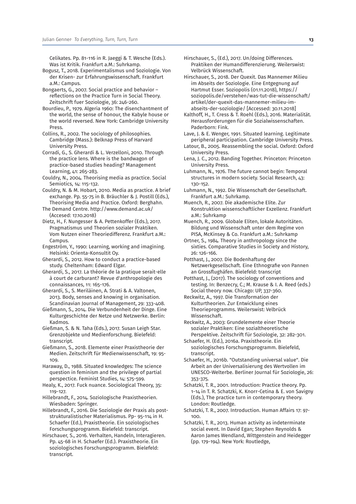Celikates. Pp. 81-116 in R. Jaeggi & T. Wesche (Eds.). Was ist Kritik. Frankfurt a.M.: Suhrkamp.

- Bogusz, T., 2018. Experimentalismus und Soziologie. Von der Krisen- zur Erfahrungswissenschaft. Frankfurt a.M.: Campus.
- Bongaerts, G., 2007. Social practice and behavior reflections on the Practice Turn in Social Theory. Zeitschrift fuer Soziologie, 36: 246-260.
- Bourdieu, P., 1979. Algeria 1960: The disenchantment of the world, the sense of honour, the Kabyle house or the world reversed. New York: Cambridge University Press.
- Collins, R., 2002. The sociology of philosophies. Cambridge (Mass.): Belknap Press of Harvard University Press.
- Corradi, G., S. Gherardi & L. Verzelloni, 2010. Through the practice lens. Where is the bandwagon of practice-based studies heading? Management Learning, 41: 265-283.
- Couldry, N., 2004. Theorising media as practice. Social Semiotics, 14: 115-132.
- Couldry, N. & M. Hobart, 2010. Media as practice. A brief exchange. Pp. 55-75 in B. Bräuchler & J. Postill (Eds.), Theorising Media and Practice. Oxford: Berghahn.
- The Demand Centre. http://www.demand.ac.uk/ (Accesed: 17.10.2018)
- Dietz, H., F. Nungesser & A. Pettenkoffer (Eds.), 2017. Pragmatismus und Theorien sozialer Praktiken. Vom Nutzen einer Theoriedifferenz. Frankfurt a.M.: Campus
- Engeström, Y., 1990: Learning, working and imagining. Helsinki: Orienta-Konsultit Oy.
- Gherardi, S., 2012. How to conduct a practice-based study. Cheltenham: Edward Elgar.
- Gherardi, S., 2017. La théorie de la pratique serait-elle à court de carburant? Revue d'anthropologie des connaissances, 11: 165-176.
- Gherardi, S., S. Meriläinen, A. Strati & A. Valtonen, 2013. Body, senses and knowing in organisation. Scandinavian Journal of Management, 29: 333-408.
- Gießmann, S., 2014. Die Verbundenheit der Dinge. Eine Kulturgeschichte der Netze und Netzwerke. Berlin: Kadmos.
- Gießman, S. & N. Taha (Eds.), 2017. Susan Leigh Star. Grenzobjekte und Medienforschung. Bielefeld: transcript.
- Gießmann, S., 2018. Elemente einer Praxistheorie der Medien. Zeitschrift für Medienwissenschaft, 19: 95- 109.
- Haraway, D., 1988. Situated knowledges: The science question in feminism and the privilege of partial perspectice. Feminist Studies, 14: 575-599.
- Healy, K., 2017. Fuck nuance. Sociological Theory, 35: 119-127.
- Hillebrandt, F., 2014. Soziologische Praxistheorien. Wiesbaden: Springer.
- Hillebrandt, F., 2016. Die Soziologie der Praxis als poststrukturalistischer Materialismus. Pp- 95-114 in H. Schaefer (Ed.), Praxistheorie. Ein soziologisches Forschungsprogramm. Bielefeld: transcript.
- Hirschauer, S., 2016. Verhalten, Handeln, Interagieren. Pp. 45-68 in H. Schaefer (Ed.). Praxistheorie. Ein soziologisches Forschungsprogramm. Bielefeld: transcript.
- Hirschauer, S., (Ed.), 2017. Un/doing Differences. Praktiken der Humandifferenzierung. Weilerswist: Velbrück Wissenschaft.
- Hirschauer, S., 2018. Der Quexit. Das Mannemer Milieu im Abseits der Soziologie. Eine Entgegnung auf Hartmut Esser. Soziopolis (01.11.2018), https:// soziopolis.de/verstehen/was-tut-die-wissenschaft/ artikel/der-quexit-das-mannemer-milieu-imabseits-der-soziologie/ [Accessed: 30.11.2018]
- Kalthoff, H., T. Cress & T. Roehl (Eds.), 2016. Materialität. Herausforderungen für die Sozialwissenschaften. Paderborn: Fink.
- Lave, J. & E. Wenger, 1991. Situated learning. Legitimate peripheral participation. Cambridge University Press.
- Latour, B., 2005. Reassembling the social. Oxford: Oxford University Press.
- Lena, J. C., 2012. Banding Together. Princeton: Princeton University Press.
- Luhmann, N., 1976. The future cannot begin: Temporal structures in modern society. Social Research, 43: 130-152.
- Luhmann, N., 1992. Die Wissenschaft der Gesellschaft. Frankfurt a.M.: Suhrkamp.
- Muench, R., 2007. Die akademische Elite. Zur Konstruktion wissenschaftlicher Exzellenz. Frankfurt  $a \, M \cdot S$ uhrkamp
- Muench, R., 2009. Globale Eliten, lokale Autoritäten. Bildung und Wissenschaft unter dem Regime von PISA, McKinsey & Co. Frankfurt a.M.: Suhrkamp
- Ortner, S., 1984. Theory in anthropology since the sixties. Comparative Studies in Society and History, 26: 126-166.
- Potthast, J., 2007. Die Bodenhaftung der Netzwerkgesellschaft. Eine Ethnografie von Pannen an Grossflughäfen. Bielefeld: transcript
- Potthast, J., (2017). The sociology of conventions and testing. In: Benzecry, C.; M. Krause & I. A. Reed (eds.) Social theory now. Chicago: UP, 337-360.
- Reckwitz, A., 1997. Die Transformation der Kulturtheorien. Zur Entwicklung eines Theorieprogramms. Weilerswist: Velbrück Wissenschaft.
- Reckwitz, A., 2003: Grundelemente einer Theorie sozialer Praktiken: Eine sozialtheoretische Perspektive. Zeitschrift für Soziologie, 32: 282-301.
- Schaefer, H. (Ed.), 2016a. Praxistheorie. Ein soziologisches Forschungsprogramm. Bielefeld, transcript.
- Schaefer, H., 2016b. "Outstanding universal value". Die Arbeit an der Universalisierung des Wertvollen im UNESCO-Welterbe. Berliner Journal für Soziologie, 26: 353-375.
- Schatzki, T. R., 2001. Introduction: Practice theory. Pp. 1-14 in T. R. Schatzki, K. Knorr-Cetina & E. von Savigny (Eds.), The practice turn in contemporary theory. London: Routledge.
- Schatzki, T. R., 2007. Introduction. Human Affairs 17: 97- 100.
- Schatzki, T. R., 2013. Human activity as indeterminate social event. In David Egan; Stephen Reynolds & Aaron James Wendland, Wittgenstein and Heidegger (pp. 179-194). New York: Routledge,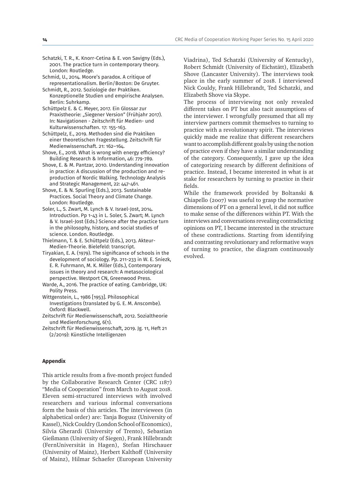Schatzki, T. R., K. Knorr-Cetina & E. von Savigny (Eds.), 2001. The practice turn in contemporary theory. London: Routledge.

Schmid, U., 2014. Moore's paradox. A critique of representationalism. Berlin/Boston: De Gruyter. Schmidt, R., 2012. Soziologie der Praktiken.

Konzeptionelle Studien und empirische Analysen. Berlin: Suhrkamp.

- Schüttpelz E. & C. Meyer, 2017. Ein Glossar zur Praxistheorie: "Siegener Version" (Frühjahr 2017). In: Navigationen - Zeitschrift für Medien- und Kulturwissenschaften. 17: 155-163.
- Schüttpelz, E., 2019. Methoden sind die Praktiken einer theoretischen Fragestellung. Zeitschrift für Medienwissenschaft. 21: 162–164.
- Shove, E., 2018. What is wrong with energy efficiency? Building Research & Information, 46: 779-789.
- Shove, E. & M. Pantzar, 2010. Understanding innovation in practice: A discussion of the production and reproduction of Nordic Walking. Technology Analysis and Strategic Management, 22: 447-461.
- Shove, E. & N. Spurling (Eds.), 2013. Sustainable Practices. Social Theory and Climate Change. London: Routledge.
- Soler, L., S. Zwart, M. Lynch & V. Israel-Jost, 2014. Introduction. Pp 1-43 in L. Soler, S. Zwart; M. Lynch & V. Israel-Jost (Eds.) Science after the practice turn in the philosophy, history, and social studies of science. London. Routledge.
- Thielmann, T. & E. Schüttpelz (Eds.), 2013. Akteur-Medien-Theorie. Bielefeld: transcript.
- Tiryakian, E. A. (1979). The significance of schools in the development of sociology. Pp. 211-233 in W. E. Sniezk, E. R. Fuhrmann, M. K. Miller (Eds.), Contemporary issues in theory and research: A metasociological perspective. Westport CN, Greenwood Press.
- Warde, A., 2016. The practice of eating. Cambridge, UK: Polity Press.
- Wittgenstein, L., 1986 [1953]. Philosophical Investigations (translated by G. E. M. Anscombe). Oxford: Blackwell.
- Zeitschrift für Medienwissenschaft, 2012. Sozialtheorie und Medienforschung, 6(1).
- Zeitschrift für Medienwissenschaft, 2019. Jg. 11, Heft 21 (2/2019): Künstliche Intelligenzen

#### **Appendix**

This article results from a five-month project funded by the Collaborative Research Center (CRC 1187) "Media of Cooperation" from March to August 2018. Eleven semi-structured interviews with involved researchers and various informal conversations form the basis of this articles. The interviewees (in alphabetical order) are: Tanja Bogusz (University of Kassel), Nick Couldry (London School of Economics), Silvia Gherardi (University of Trento), Sebastian Gießmann (University of Siegen), Frank Hillebrandt (FernUniversität in Hagen), Stefan Hirschauer (University of Mainz), Herbert Kalthoff (University of Mainz), Hilmar Schaefer (European University Viadrina), Ted Schatzki (University of Kentucky), Robert Schmidt (University of Eichstätt), Elizabeth Shove (Lancaster University). The interviews took place in the early summer of 2018. I interviewed Nick Couldy, Frank Hillebrandt, Ted Schatzki, and Elizabeth Shove via Skype.

The process of interviewing not only revealed different takes on PT but also tacit assumptions of the interviewer. I wrongfully presumed that all my interview partners commit themselves to turning to practice with a revolutionary spirit. The interviews quickly made me realize that different researchers want to accomplish different goals by using the notion of practice even if they have a similar understanding of the category. Consequently, I gave up the idea of categorizing research by different definitions of practice. Instead, I became interested in what is at stake for researchers by turning to practice in their fields.

While the framework provided by Boltanski & Chiapello (2007) was useful to grasp the normative dimensions of PT on a general level, it did not suffice to make sense of the differences within PT. With the interviews and conversations revealing contradicting opinions on PT, I became interested in the structure of these contradictions. Starting from identifying and contrasting revolutionary and reformative ways of turning to practice, the diagram continuously evolved.